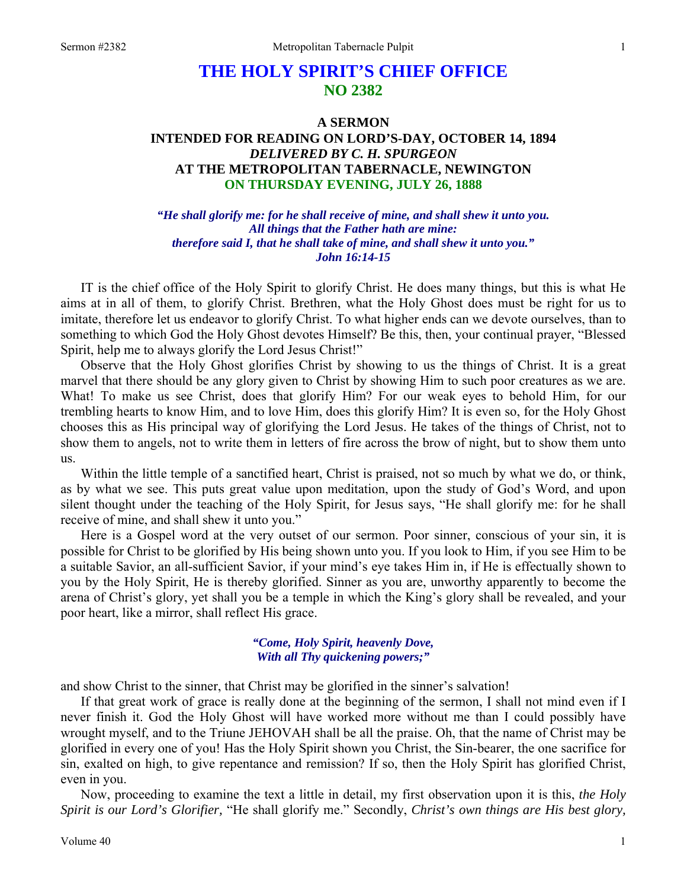# **THE HOLY SPIRIT'S CHIEF OFFICE NO 2382**

## **A SERMON INTENDED FOR READING ON LORD'S-DAY, OCTOBER 14, 1894**  *DELIVERED BY C. H. SPURGEON*  **AT THE METROPOLITAN TABERNACLE, NEWINGTON ON THURSDAY EVENING, JULY 26, 1888**

*"He shall glorify me: for he shall receive of mine, and shall shew it unto you. All things that the Father hath are mine: therefore said I, that he shall take of mine, and shall shew it unto you." John 16:14-15* 

IT is the chief office of the Holy Spirit to glorify Christ. He does many things, but this is what He aims at in all of them, to glorify Christ. Brethren, what the Holy Ghost does must be right for us to imitate, therefore let us endeavor to glorify Christ. To what higher ends can we devote ourselves, than to something to which God the Holy Ghost devotes Himself? Be this, then, your continual prayer, "Blessed Spirit, help me to always glorify the Lord Jesus Christ!"

Observe that the Holy Ghost glorifies Christ by showing to us the things of Christ. It is a great marvel that there should be any glory given to Christ by showing Him to such poor creatures as we are. What! To make us see Christ, does that glorify Him? For our weak eyes to behold Him, for our trembling hearts to know Him, and to love Him, does this glorify Him? It is even so, for the Holy Ghost chooses this as His principal way of glorifying the Lord Jesus. He takes of the things of Christ, not to show them to angels, not to write them in letters of fire across the brow of night, but to show them unto us.

Within the little temple of a sanctified heart, Christ is praised, not so much by what we do, or think, as by what we see. This puts great value upon meditation, upon the study of God's Word, and upon silent thought under the teaching of the Holy Spirit, for Jesus says, "He shall glorify me: for he shall receive of mine, and shall shew it unto you."

Here is a Gospel word at the very outset of our sermon. Poor sinner, conscious of your sin, it is possible for Christ to be glorified by His being shown unto you. If you look to Him, if you see Him to be a suitable Savior, an all-sufficient Savior, if your mind's eye takes Him in, if He is effectually shown to you by the Holy Spirit, He is thereby glorified. Sinner as you are, unworthy apparently to become the arena of Christ's glory, yet shall you be a temple in which the King's glory shall be revealed, and your poor heart, like a mirror, shall reflect His grace.

## *"Come, Holy Spirit, heavenly Dove, With all Thy quickening powers;"*

and show Christ to the sinner, that Christ may be glorified in the sinner's salvation!

If that great work of grace is really done at the beginning of the sermon, I shall not mind even if I never finish it. God the Holy Ghost will have worked more without me than I could possibly have wrought myself, and to the Triune JEHOVAH shall be all the praise. Oh, that the name of Christ may be glorified in every one of you! Has the Holy Spirit shown you Christ, the Sin-bearer, the one sacrifice for sin, exalted on high, to give repentance and remission? If so, then the Holy Spirit has glorified Christ, even in you.

Now, proceeding to examine the text a little in detail, my first observation upon it is this, *the Holy Spirit is our Lord's Glorifier,* "He shall glorify me." Secondly, *Christ's own things are His best glory,*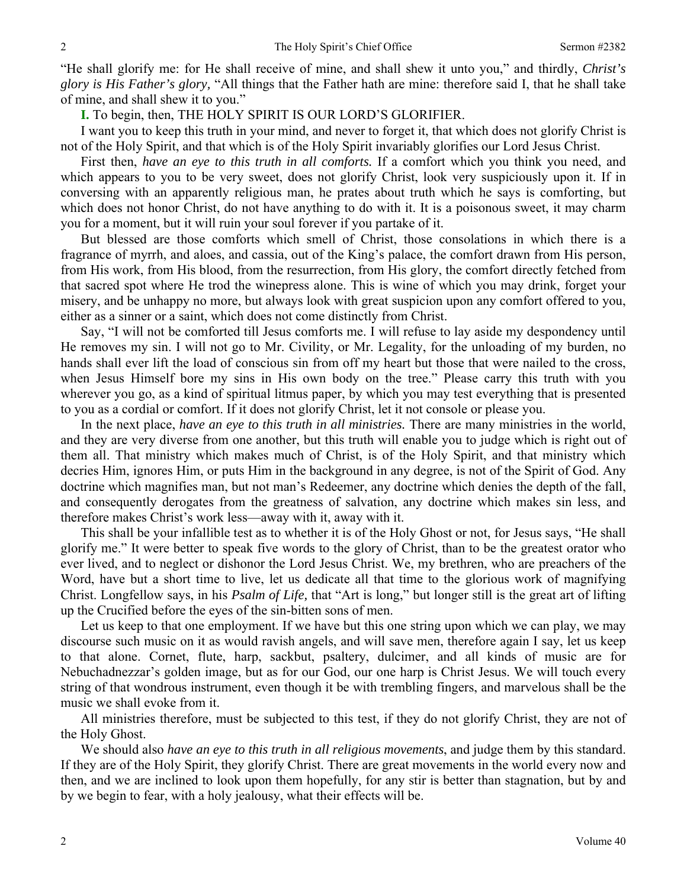"He shall glorify me: for He shall receive of mine, and shall shew it unto you," and thirdly, *Christ's glory is His Father's glory,* "All things that the Father hath are mine: therefore said I, that he shall take of mine, and shall shew it to you."

**I.** To begin, then, THE HOLY SPIRIT IS OUR LORD'S GLORIFIER.

I want you to keep this truth in your mind, and never to forget it, that which does not glorify Christ is not of the Holy Spirit, and that which is of the Holy Spirit invariably glorifies our Lord Jesus Christ.

First then, *have an eye to this truth in all comforts.* If a comfort which you think you need, and which appears to you to be very sweet, does not glorify Christ, look very suspiciously upon it. If in conversing with an apparently religious man, he prates about truth which he says is comforting, but which does not honor Christ, do not have anything to do with it. It is a poisonous sweet, it may charm you for a moment, but it will ruin your soul forever if you partake of it.

But blessed are those comforts which smell of Christ, those consolations in which there is a fragrance of myrrh, and aloes, and cassia, out of the King's palace, the comfort drawn from His person, from His work, from His blood, from the resurrection, from His glory, the comfort directly fetched from that sacred spot where He trod the winepress alone. This is wine of which you may drink, forget your misery, and be unhappy no more, but always look with great suspicion upon any comfort offered to you, either as a sinner or a saint, which does not come distinctly from Christ.

Say, "I will not be comforted till Jesus comforts me. I will refuse to lay aside my despondency until He removes my sin. I will not go to Mr. Civility, or Mr. Legality, for the unloading of my burden, no hands shall ever lift the load of conscious sin from off my heart but those that were nailed to the cross, when Jesus Himself bore my sins in His own body on the tree." Please carry this truth with you wherever you go, as a kind of spiritual litmus paper, by which you may test everything that is presented to you as a cordial or comfort. If it does not glorify Christ, let it not console or please you.

In the next place, *have an eye to this truth in all ministries.* There are many ministries in the world, and they are very diverse from one another, but this truth will enable you to judge which is right out of them all. That ministry which makes much of Christ, is of the Holy Spirit, and that ministry which decries Him, ignores Him, or puts Him in the background in any degree, is not of the Spirit of God. Any doctrine which magnifies man, but not man's Redeemer, any doctrine which denies the depth of the fall, and consequently derogates from the greatness of salvation, any doctrine which makes sin less, and therefore makes Christ's work less—away with it, away with it.

This shall be your infallible test as to whether it is of the Holy Ghost or not, for Jesus says, "He shall glorify me." It were better to speak five words to the glory of Christ, than to be the greatest orator who ever lived, and to neglect or dishonor the Lord Jesus Christ. We, my brethren, who are preachers of the Word, have but a short time to live, let us dedicate all that time to the glorious work of magnifying Christ. Longfellow says, in his *Psalm of Life,* that "Art is long," but longer still is the great art of lifting up the Crucified before the eyes of the sin-bitten sons of men.

Let us keep to that one employment. If we have but this one string upon which we can play, we may discourse such music on it as would ravish angels, and will save men, therefore again I say, let us keep to that alone. Cornet, flute, harp, sackbut, psaltery, dulcimer, and all kinds of music are for Nebuchadnezzar's golden image, but as for our God, our one harp is Christ Jesus. We will touch every string of that wondrous instrument, even though it be with trembling fingers, and marvelous shall be the music we shall evoke from it.

All ministries therefore, must be subjected to this test, if they do not glorify Christ, they are not of the Holy Ghost.

We should also *have an eye to this truth in all religious movements*, and judge them by this standard. If they are of the Holy Spirit, they glorify Christ. There are great movements in the world every now and then, and we are inclined to look upon them hopefully, for any stir is better than stagnation, but by and by we begin to fear, with a holy jealousy, what their effects will be.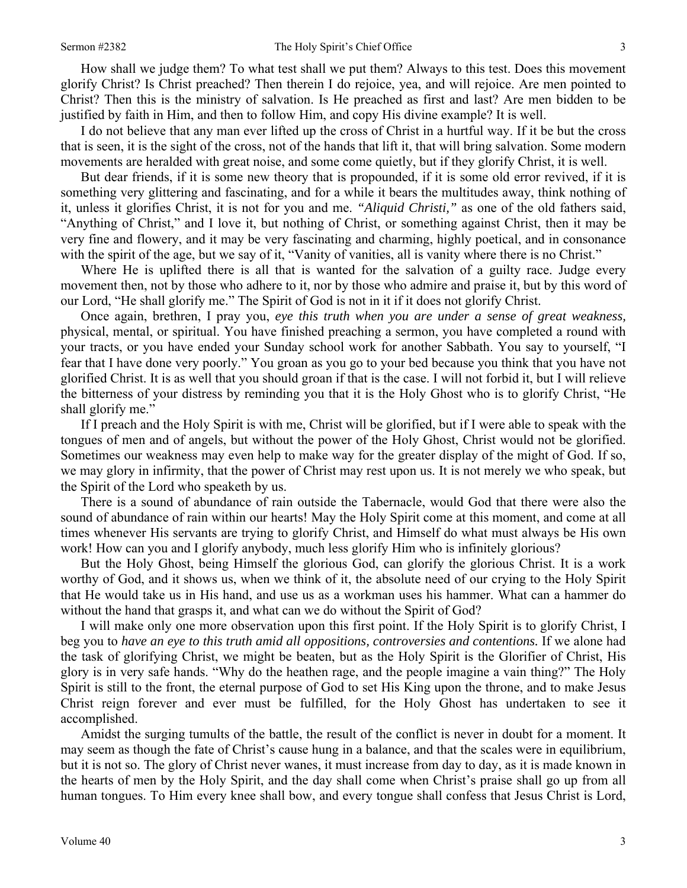How shall we judge them? To what test shall we put them? Always to this test. Does this movement glorify Christ? Is Christ preached? Then therein I do rejoice, yea, and will rejoice. Are men pointed to Christ? Then this is the ministry of salvation. Is He preached as first and last? Are men bidden to be justified by faith in Him, and then to follow Him, and copy His divine example? It is well.

I do not believe that any man ever lifted up the cross of Christ in a hurtful way. If it be but the cross that is seen, it is the sight of the cross, not of the hands that lift it, that will bring salvation. Some modern movements are heralded with great noise, and some come quietly, but if they glorify Christ, it is well.

But dear friends, if it is some new theory that is propounded, if it is some old error revived, if it is something very glittering and fascinating, and for a while it bears the multitudes away, think nothing of it, unless it glorifies Christ, it is not for you and me. *"Aliquid Christi,"* as one of the old fathers said, "Anything of Christ," and I love it, but nothing of Christ, or something against Christ, then it may be very fine and flowery, and it may be very fascinating and charming, highly poetical, and in consonance with the spirit of the age, but we say of it, "Vanity of vanities, all is vanity where there is no Christ."

Where He is uplifted there is all that is wanted for the salvation of a guilty race. Judge every movement then, not by those who adhere to it, nor by those who admire and praise it, but by this word of our Lord, "He shall glorify me." The Spirit of God is not in it if it does not glorify Christ.

Once again, brethren, I pray you, *eye this truth when you are under a sense of great weakness,*  physical, mental, or spiritual. You have finished preaching a sermon, you have completed a round with your tracts, or you have ended your Sunday school work for another Sabbath. You say to yourself, "I fear that I have done very poorly." You groan as you go to your bed because you think that you have not glorified Christ. It is as well that you should groan if that is the case. I will not forbid it, but I will relieve the bitterness of your distress by reminding you that it is the Holy Ghost who is to glorify Christ, "He shall glorify me."

If I preach and the Holy Spirit is with me, Christ will be glorified, but if I were able to speak with the tongues of men and of angels, but without the power of the Holy Ghost, Christ would not be glorified. Sometimes our weakness may even help to make way for the greater display of the might of God. If so, we may glory in infirmity, that the power of Christ may rest upon us. It is not merely we who speak, but the Spirit of the Lord who speaketh by us.

There is a sound of abundance of rain outside the Tabernacle, would God that there were also the sound of abundance of rain within our hearts! May the Holy Spirit come at this moment, and come at all times whenever His servants are trying to glorify Christ, and Himself do what must always be His own work! How can you and I glorify anybody, much less glorify Him who is infinitely glorious?

But the Holy Ghost, being Himself the glorious God, can glorify the glorious Christ. It is a work worthy of God, and it shows us, when we think of it, the absolute need of our crying to the Holy Spirit that He would take us in His hand, and use us as a workman uses his hammer. What can a hammer do without the hand that grasps it, and what can we do without the Spirit of God?

I will make only one more observation upon this first point. If the Holy Spirit is to glorify Christ, I beg you to *have an eye to this truth amid all oppositions, controversies and contentions.* If we alone had the task of glorifying Christ, we might be beaten, but as the Holy Spirit is the Glorifier of Christ, His glory is in very safe hands. "Why do the heathen rage, and the people imagine a vain thing?" The Holy Spirit is still to the front, the eternal purpose of God to set His King upon the throne, and to make Jesus Christ reign forever and ever must be fulfilled, for the Holy Ghost has undertaken to see it accomplished.

Amidst the surging tumults of the battle, the result of the conflict is never in doubt for a moment. It may seem as though the fate of Christ's cause hung in a balance, and that the scales were in equilibrium, but it is not so. The glory of Christ never wanes, it must increase from day to day, as it is made known in the hearts of men by the Holy Spirit, and the day shall come when Christ's praise shall go up from all human tongues. To Him every knee shall bow, and every tongue shall confess that Jesus Christ is Lord,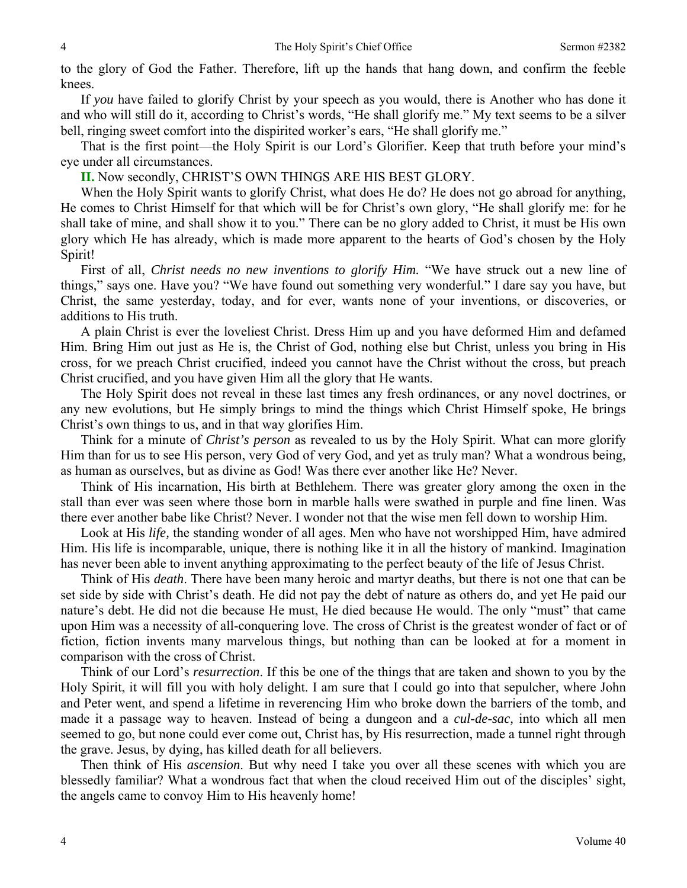to the glory of God the Father. Therefore, lift up the hands that hang down, and confirm the feeble knees.

If *you* have failed to glorify Christ by your speech as you would, there is Another who has done it and who will still do it, according to Christ's words, "He shall glorify me." My text seems to be a silver bell, ringing sweet comfort into the dispirited worker's ears, "He shall glorify me."

That is the first point—the Holy Spirit is our Lord's Glorifier. Keep that truth before your mind's eye under all circumstances.

**II.** Now secondly, CHRIST'S OWN THINGS ARE HIS BEST GLORY.

When the Holy Spirit wants to glorify Christ, what does He do? He does not go abroad for anything, He comes to Christ Himself for that which will be for Christ's own glory, "He shall glorify me: for he shall take of mine, and shall show it to you." There can be no glory added to Christ, it must be His own glory which He has already, which is made more apparent to the hearts of God's chosen by the Holy Spirit!

First of all, *Christ needs no new inventions to glorify Him.* "We have struck out a new line of things," says one. Have you? "We have found out something very wonderful." I dare say you have, but Christ, the same yesterday, today, and for ever, wants none of your inventions, or discoveries, or additions to His truth.

A plain Christ is ever the loveliest Christ. Dress Him up and you have deformed Him and defamed Him. Bring Him out just as He is, the Christ of God, nothing else but Christ, unless you bring in His cross, for we preach Christ crucified, indeed you cannot have the Christ without the cross, but preach Christ crucified, and you have given Him all the glory that He wants.

The Holy Spirit does not reveal in these last times any fresh ordinances, or any novel doctrines, or any new evolutions, but He simply brings to mind the things which Christ Himself spoke, He brings Christ's own things to us, and in that way glorifies Him.

Think for a minute of *Christ's person* as revealed to us by the Holy Spirit. What can more glorify Him than for us to see His person, very God of very God, and yet as truly man? What a wondrous being, as human as ourselves, but as divine as God! Was there ever another like He? Never.

Think of His incarnation, His birth at Bethlehem. There was greater glory among the oxen in the stall than ever was seen where those born in marble halls were swathed in purple and fine linen. Was there ever another babe like Christ? Never. I wonder not that the wise men fell down to worship Him.

Look at His *life,* the standing wonder of all ages. Men who have not worshipped Him, have admired Him. His life is incomparable, unique, there is nothing like it in all the history of mankind. Imagination has never been able to invent anything approximating to the perfect beauty of the life of Jesus Christ.

Think of His *death*. There have been many heroic and martyr deaths, but there is not one that can be set side by side with Christ's death. He did not pay the debt of nature as others do, and yet He paid our nature's debt. He did not die because He must, He died because He would. The only "must" that came upon Him was a necessity of all-conquering love. The cross of Christ is the greatest wonder of fact or of fiction, fiction invents many marvelous things, but nothing than can be looked at for a moment in comparison with the cross of Christ.

Think of our Lord's *resurrection*. If this be one of the things that are taken and shown to you by the Holy Spirit, it will fill you with holy delight. I am sure that I could go into that sepulcher, where John and Peter went, and spend a lifetime in reverencing Him who broke down the barriers of the tomb, and made it a passage way to heaven. Instead of being a dungeon and a *cul-de-sac,* into which all men seemed to go, but none could ever come out, Christ has, by His resurrection, made a tunnel right through the grave. Jesus, by dying, has killed death for all believers.

Then think of His *ascension*. But why need I take you over all these scenes with which you are blessedly familiar? What a wondrous fact that when the cloud received Him out of the disciples' sight, the angels came to convoy Him to His heavenly home!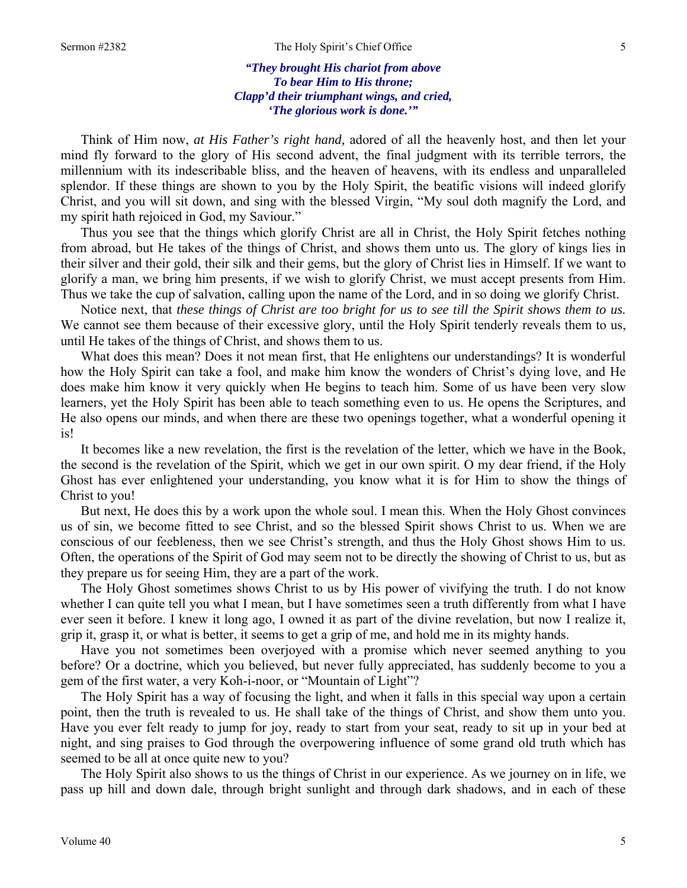### *"They brought His chariot from above To bear Him to His throne; Clapp'd their triumphant wings, and cried, 'The glorious work is done.'"*

Think of Him now, *at His Father's right hand,* adored of all the heavenly host, and then let your mind fly forward to the glory of His second advent, the final judgment with its terrible terrors, the millennium with its indescribable bliss, and the heaven of heavens, with its endless and unparalleled splendor. If these things are shown to you by the Holy Spirit, the beatific visions will indeed glorify Christ, and you will sit down, and sing with the blessed Virgin, "My soul doth magnify the Lord, and my spirit hath rejoiced in God, my Saviour."

Thus you see that the things which glorify Christ are all in Christ, the Holy Spirit fetches nothing from abroad, but He takes of the things of Christ, and shows them unto us. The glory of kings lies in their silver and their gold, their silk and their gems, but the glory of Christ lies in Himself. If we want to glorify a man, we bring him presents, if we wish to glorify Christ, we must accept presents from Him. Thus we take the cup of salvation, calling upon the name of the Lord, and in so doing we glorify Christ.

Notice next, that *these things of Christ are too bright for us to see till the Spirit shows them to us.*  We cannot see them because of their excessive glory, until the Holy Spirit tenderly reveals them to us, until He takes of the things of Christ, and shows them to us.

What does this mean? Does it not mean first, that He enlightens our understandings? It is wonderful how the Holy Spirit can take a fool, and make him know the wonders of Christ's dying love, and He does make him know it very quickly when He begins to teach him. Some of us have been very slow learners, yet the Holy Spirit has been able to teach something even to us. He opens the Scriptures, and He also opens our minds, and when there are these two openings together, what a wonderful opening it is!

It becomes like a new revelation, the first is the revelation of the letter, which we have in the Book, the second is the revelation of the Spirit, which we get in our own spirit. O my dear friend, if the Holy Ghost has ever enlightened your understanding, you know what it is for Him to show the things of Christ to you!

But next, He does this by a work upon the whole soul. I mean this. When the Holy Ghost convinces us of sin, we become fitted to see Christ, and so the blessed Spirit shows Christ to us. When we are conscious of our feebleness, then we see Christ's strength, and thus the Holy Ghost shows Him to us. Often, the operations of the Spirit of God may seem not to be directly the showing of Christ to us, but as they prepare us for seeing Him, they are a part of the work.

The Holy Ghost sometimes shows Christ to us by His power of vivifying the truth. I do not know whether I can quite tell you what I mean, but I have sometimes seen a truth differently from what I have ever seen it before. I knew it long ago, I owned it as part of the divine revelation, but now I realize it, grip it, grasp it, or what is better, it seems to get a grip of me, and hold me in its mighty hands.

Have you not sometimes been overjoyed with a promise which never seemed anything to you before? Or a doctrine, which you believed, but never fully appreciated, has suddenly become to you a gem of the first water, a very Koh-i-noor, or "Mountain of Light"?

The Holy Spirit has a way of focusing the light, and when it falls in this special way upon a certain point, then the truth is revealed to us. He shall take of the things of Christ, and show them unto you. Have you ever felt ready to jump for joy, ready to start from your seat, ready to sit up in your bed at night, and sing praises to God through the overpowering influence of some grand old truth which has seemed to be all at once quite new to you?

The Holy Spirit also shows to us the things of Christ in our experience. As we journey on in life, we pass up hill and down dale, through bright sunlight and through dark shadows, and in each of these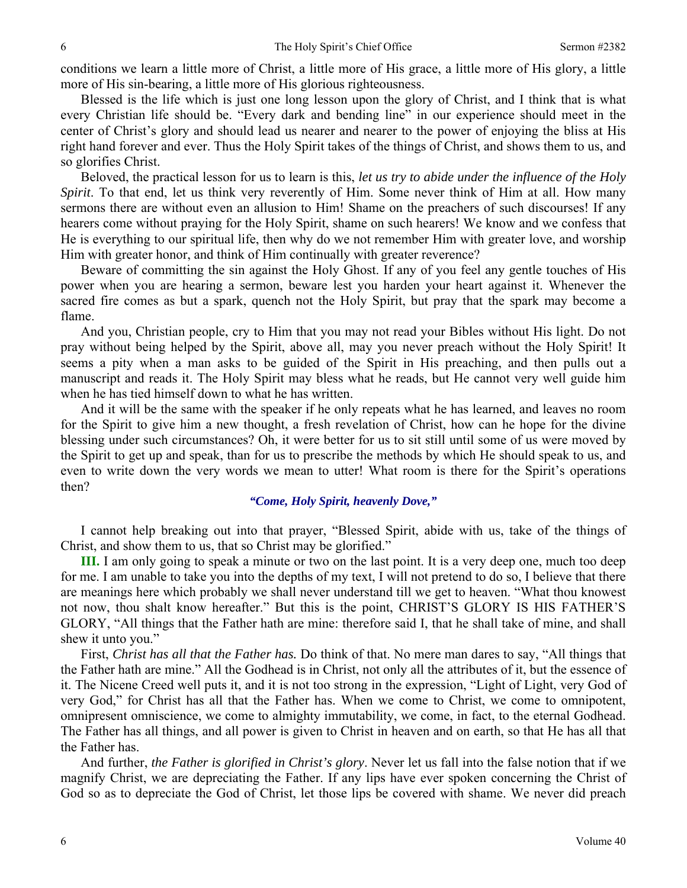conditions we learn a little more of Christ, a little more of His grace, a little more of His glory, a little more of His sin-bearing, a little more of His glorious righteousness.

Blessed is the life which is just one long lesson upon the glory of Christ, and I think that is what every Christian life should be. "Every dark and bending line" in our experience should meet in the center of Christ's glory and should lead us nearer and nearer to the power of enjoying the bliss at His right hand forever and ever. Thus the Holy Spirit takes of the things of Christ, and shows them to us, and so glorifies Christ.

Beloved, the practical lesson for us to learn is this, *let us try to abide under the influence of the Holy Spirit*. To that end, let us think very reverently of Him. Some never think of Him at all. How many sermons there are without even an allusion to Him! Shame on the preachers of such discourses! If any hearers come without praying for the Holy Spirit, shame on such hearers! We know and we confess that He is everything to our spiritual life, then why do we not remember Him with greater love, and worship Him with greater honor, and think of Him continually with greater reverence?

Beware of committing the sin against the Holy Ghost. If any of you feel any gentle touches of His power when you are hearing a sermon, beware lest you harden your heart against it. Whenever the sacred fire comes as but a spark, quench not the Holy Spirit, but pray that the spark may become a flame.

And you, Christian people, cry to Him that you may not read your Bibles without His light. Do not pray without being helped by the Spirit, above all, may you never preach without the Holy Spirit! It seems a pity when a man asks to be guided of the Spirit in His preaching, and then pulls out a manuscript and reads it. The Holy Spirit may bless what he reads, but He cannot very well guide him when he has tied himself down to what he has written.

And it will be the same with the speaker if he only repeats what he has learned, and leaves no room for the Spirit to give him a new thought, a fresh revelation of Christ, how can he hope for the divine blessing under such circumstances? Oh, it were better for us to sit still until some of us were moved by the Spirit to get up and speak, than for us to prescribe the methods by which He should speak to us, and even to write down the very words we mean to utter! What room is there for the Spirit's operations then?

#### *"Come, Holy Spirit, heavenly Dove,"*

I cannot help breaking out into that prayer, "Blessed Spirit, abide with us, take of the things of Christ, and show them to us, that so Christ may be glorified."

**III.** I am only going to speak a minute or two on the last point. It is a very deep one, much too deep for me. I am unable to take you into the depths of my text, I will not pretend to do so, I believe that there are meanings here which probably we shall never understand till we get to heaven. "What thou knowest not now, thou shalt know hereafter." But this is the point, CHRIST'S GLORY IS HIS FATHER'S GLORY, "All things that the Father hath are mine: therefore said I, that he shall take of mine, and shall shew it unto you."

First, *Christ has all that the Father has.* Do think of that. No mere man dares to say, "All things that the Father hath are mine." All the Godhead is in Christ, not only all the attributes of it, but the essence of it. The Nicene Creed well puts it, and it is not too strong in the expression, "Light of Light, very God of very God," for Christ has all that the Father has. When we come to Christ, we come to omnipotent, omnipresent omniscience, we come to almighty immutability, we come, in fact, to the eternal Godhead. The Father has all things, and all power is given to Christ in heaven and on earth, so that He has all that the Father has.

And further, *the Father is glorified in Christ's glory*. Never let us fall into the false notion that if we magnify Christ, we are depreciating the Father. If any lips have ever spoken concerning the Christ of God so as to depreciate the God of Christ, let those lips be covered with shame. We never did preach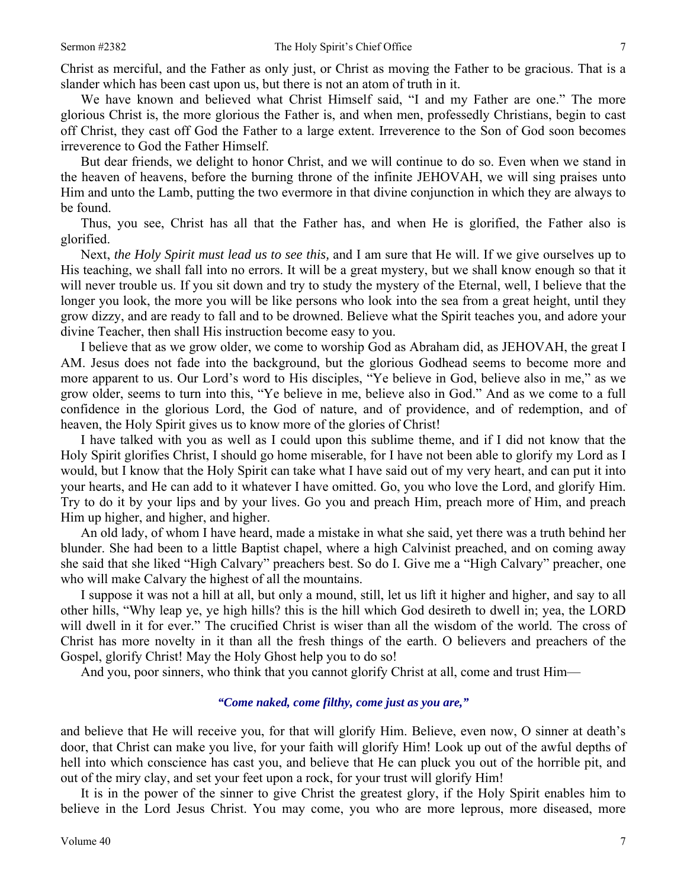Christ as merciful, and the Father as only just, or Christ as moving the Father to be gracious. That is a slander which has been cast upon us, but there is not an atom of truth in it.

We have known and believed what Christ Himself said, "I and my Father are one." The more glorious Christ is, the more glorious the Father is, and when men, professedly Christians, begin to cast off Christ, they cast off God the Father to a large extent. Irreverence to the Son of God soon becomes irreverence to God the Father Himself.

But dear friends, we delight to honor Christ, and we will continue to do so. Even when we stand in the heaven of heavens, before the burning throne of the infinite JEHOVAH, we will sing praises unto Him and unto the Lamb, putting the two evermore in that divine conjunction in which they are always to be found.

Thus, you see, Christ has all that the Father has, and when He is glorified, the Father also is glorified.

Next, *the Holy Spirit must lead us to see this,* and I am sure that He will. If we give ourselves up to His teaching, we shall fall into no errors. It will be a great mystery, but we shall know enough so that it will never trouble us. If you sit down and try to study the mystery of the Eternal, well, I believe that the longer you look, the more you will be like persons who look into the sea from a great height, until they grow dizzy, and are ready to fall and to be drowned. Believe what the Spirit teaches you, and adore your divine Teacher, then shall His instruction become easy to you.

I believe that as we grow older, we come to worship God as Abraham did, as JEHOVAH, the great I AM. Jesus does not fade into the background, but the glorious Godhead seems to become more and more apparent to us. Our Lord's word to His disciples, "Ye believe in God, believe also in me," as we grow older, seems to turn into this, "Ye believe in me, believe also in God." And as we come to a full confidence in the glorious Lord, the God of nature, and of providence, and of redemption, and of heaven, the Holy Spirit gives us to know more of the glories of Christ!

I have talked with you as well as I could upon this sublime theme, and if I did not know that the Holy Spirit glorifies Christ, I should go home miserable, for I have not been able to glorify my Lord as I would, but I know that the Holy Spirit can take what I have said out of my very heart, and can put it into your hearts, and He can add to it whatever I have omitted. Go, you who love the Lord, and glorify Him. Try to do it by your lips and by your lives. Go you and preach Him, preach more of Him, and preach Him up higher, and higher, and higher.

An old lady, of whom I have heard, made a mistake in what she said, yet there was a truth behind her blunder. She had been to a little Baptist chapel, where a high Calvinist preached, and on coming away she said that she liked "High Calvary" preachers best. So do I. Give me a "High Calvary" preacher, one who will make Calvary the highest of all the mountains.

I suppose it was not a hill at all, but only a mound, still, let us lift it higher and higher, and say to all other hills, "Why leap ye, ye high hills? this is the hill which God desireth to dwell in; yea, the LORD will dwell in it for ever." The crucified Christ is wiser than all the wisdom of the world. The cross of Christ has more novelty in it than all the fresh things of the earth. O believers and preachers of the Gospel, glorify Christ! May the Holy Ghost help you to do so!

And you, poor sinners, who think that you cannot glorify Christ at all, come and trust Him—

## *"Come naked, come filthy, come just as you are,"*

and believe that He will receive you, for that will glorify Him. Believe, even now, O sinner at death's door, that Christ can make you live, for your faith will glorify Him! Look up out of the awful depths of hell into which conscience has cast you, and believe that He can pluck you out of the horrible pit, and out of the miry clay, and set your feet upon a rock, for your trust will glorify Him!

It is in the power of the sinner to give Christ the greatest glory, if the Holy Spirit enables him to believe in the Lord Jesus Christ. You may come, you who are more leprous, more diseased, more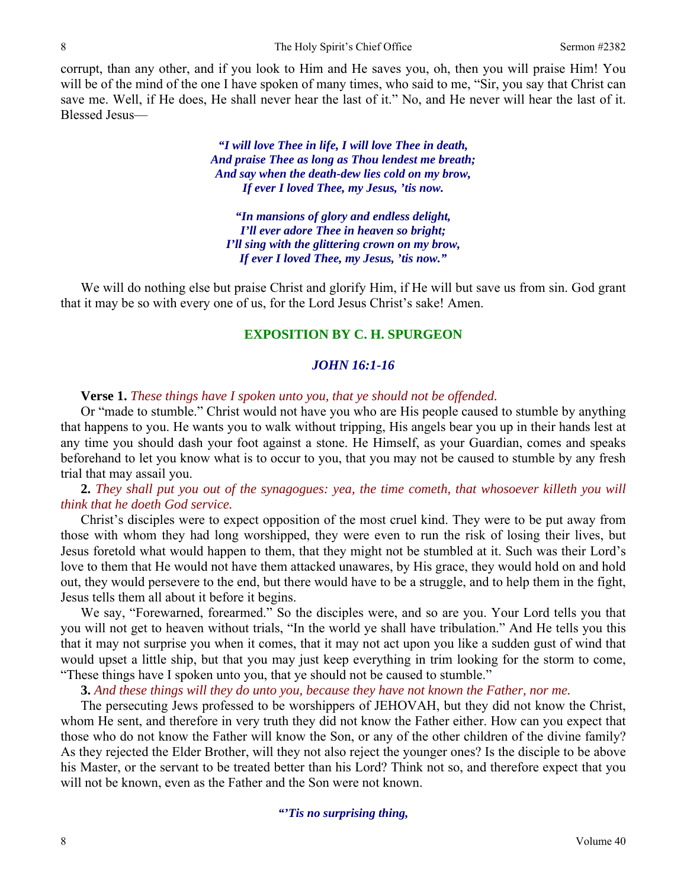corrupt, than any other, and if you look to Him and He saves you, oh, then you will praise Him! You will be of the mind of the one I have spoken of many times, who said to me, "Sir, you say that Christ can save me. Well, if He does, He shall never hear the last of it." No, and He never will hear the last of it. Blessed Jesus—

> *"I will love Thee in life, I will love Thee in death, And praise Thee as long as Thou lendest me breath; And say when the death-dew lies cold on my brow, If ever I loved Thee, my Jesus, 'tis now.*

*"In mansions of glory and endless delight, I'll ever adore Thee in heaven so bright; I'll sing with the glittering crown on my brow, If ever I loved Thee, my Jesus, 'tis now."* 

We will do nothing else but praise Christ and glorify Him, if He will but save us from sin. God grant that it may be so with every one of us, for the Lord Jesus Christ's sake! Amen.

## **EXPOSITION BY C. H. SPURGEON**

#### *JOHN 16:1-16*

#### **Verse 1.** *These things have I spoken unto you, that ye should not be offended.*

Or "made to stumble." Christ would not have you who are His people caused to stumble by anything that happens to you. He wants you to walk without tripping, His angels bear you up in their hands lest at any time you should dash your foot against a stone. He Himself, as your Guardian, comes and speaks beforehand to let you know what is to occur to you, that you may not be caused to stumble by any fresh trial that may assail you.

## **2.** *They shall put you out of the synagogues: yea, the time cometh, that whosoever killeth you will think that he doeth God service.*

Christ's disciples were to expect opposition of the most cruel kind. They were to be put away from those with whom they had long worshipped, they were even to run the risk of losing their lives, but Jesus foretold what would happen to them, that they might not be stumbled at it. Such was their Lord's love to them that He would not have them attacked unawares, by His grace, they would hold on and hold out, they would persevere to the end, but there would have to be a struggle, and to help them in the fight, Jesus tells them all about it before it begins.

We say, "Forewarned, forearmed." So the disciples were, and so are you. Your Lord tells you that you will not get to heaven without trials, "In the world ye shall have tribulation." And He tells you this that it may not surprise you when it comes, that it may not act upon you like a sudden gust of wind that would upset a little ship, but that you may just keep everything in trim looking for the storm to come, "These things have I spoken unto you, that ye should not be caused to stumble."

**3.** *And these things will they do unto you, because they have not known the Father, nor me.* 

The persecuting Jews professed to be worshippers of JEHOVAH, but they did not know the Christ, whom He sent, and therefore in very truth they did not know the Father either. How can you expect that those who do not know the Father will know the Son, or any of the other children of the divine family? As they rejected the Elder Brother, will they not also reject the younger ones? Is the disciple to be above his Master, or the servant to be treated better than his Lord? Think not so, and therefore expect that you will not be known, even as the Father and the Son were not known.

*"'Tis no surprising thing,*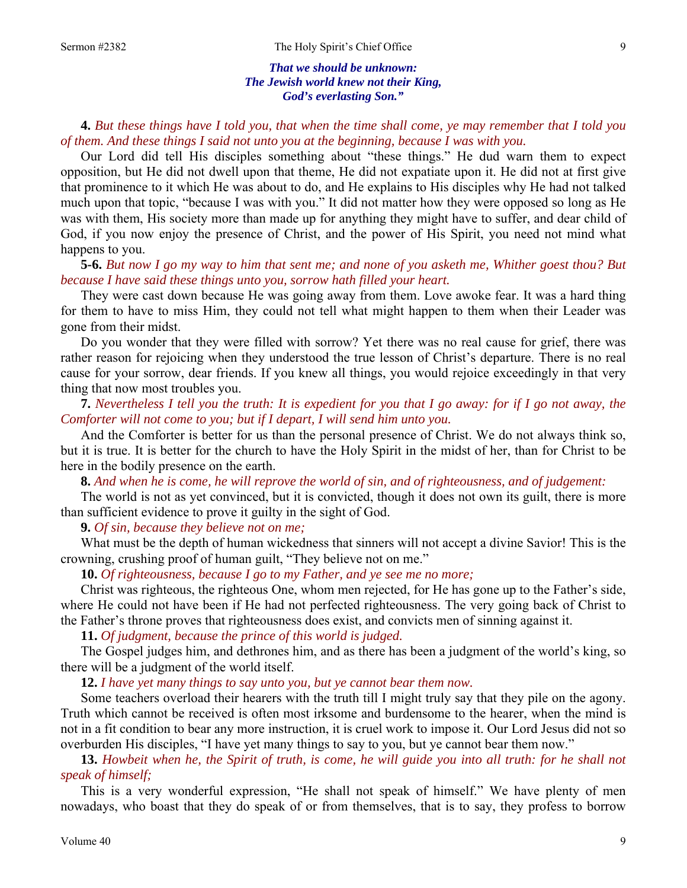#### *That we should be unknown: The Jewish world knew not their King, God's everlasting Son."*

**4.** *But these things have I told you, that when the time shall come, ye may remember that I told you of them. And these things I said not unto you at the beginning, because I was with you.* 

Our Lord did tell His disciples something about "these things." He dud warn them to expect opposition, but He did not dwell upon that theme, He did not expatiate upon it. He did not at first give that prominence to it which He was about to do, and He explains to His disciples why He had not talked much upon that topic, "because I was with you." It did not matter how they were opposed so long as He was with them, His society more than made up for anything they might have to suffer, and dear child of God, if you now enjoy the presence of Christ, and the power of His Spirit, you need not mind what happens to you.

**5-6.** *But now I go my way to him that sent me; and none of you asketh me, Whither goest thou? But because I have said these things unto you, sorrow hath filled your heart.* 

They were cast down because He was going away from them. Love awoke fear. It was a hard thing for them to have to miss Him, they could not tell what might happen to them when their Leader was gone from their midst.

Do you wonder that they were filled with sorrow? Yet there was no real cause for grief, there was rather reason for rejoicing when they understood the true lesson of Christ's departure. There is no real cause for your sorrow, dear friends. If you knew all things, you would rejoice exceedingly in that very thing that now most troubles you.

**7.** *Nevertheless I tell you the truth: It is expedient for you that I go away: for if I go not away, the Comforter will not come to you; but if I depart, I will send him unto you.* 

And the Comforter is better for us than the personal presence of Christ. We do not always think so, but it is true. It is better for the church to have the Holy Spirit in the midst of her, than for Christ to be here in the bodily presence on the earth.

**8.** *And when he is come, he will reprove the world of sin, and of righteousness, and of judgement:* 

The world is not as yet convinced, but it is convicted, though it does not own its guilt, there is more than sufficient evidence to prove it guilty in the sight of God.

**9.** *Of sin, because they believe not on me;* 

What must be the depth of human wickedness that sinners will not accept a divine Savior! This is the crowning, crushing proof of human guilt, "They believe not on me."

**10.** *Of righteousness, because I go to my Father, and ye see me no more;* 

Christ was righteous, the righteous One, whom men rejected, for He has gone up to the Father's side, where He could not have been if He had not perfected righteousness. The very going back of Christ to the Father's throne proves that righteousness does exist, and convicts men of sinning against it.

**11.** *Of judgment, because the prince of this world is judged.* 

The Gospel judges him, and dethrones him, and as there has been a judgment of the world's king, so there will be a judgment of the world itself.

**12.** *I have yet many things to say unto you, but ye cannot bear them now.* 

Some teachers overload their hearers with the truth till I might truly say that they pile on the agony. Truth which cannot be received is often most irksome and burdensome to the hearer, when the mind is not in a fit condition to bear any more instruction, it is cruel work to impose it. Our Lord Jesus did not so overburden His disciples, "I have yet many things to say to you, but ye cannot bear them now."

**13.** *Howbeit when he, the Spirit of truth, is come, he will guide you into all truth: for he shall not speak of himself;* 

This is a very wonderful expression, "He shall not speak of himself." We have plenty of men nowadays, who boast that they do speak of or from themselves, that is to say, they profess to borrow